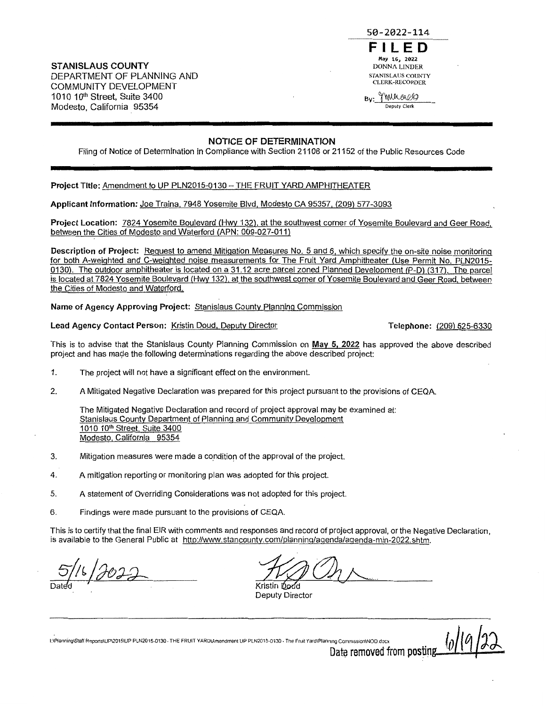**STANISLAUS COUNTY**  DEPARTMENT OF PLANNING AND COMMUNITY DEVELOPMENT 1010 10<sup>1</sup> h Street, Suite 3400 Modesto, California 95354



# **NOTICE OF DETERMINATION**

Filing of Notice of Determination in Compliance with Section 21108 or 21152 of the Public Resources Code

**Project** Title: Amendment to UP PLN2015-0130- THE FRUIT YARD AMPHITHEATER

Applicant Information: Joe Traina, 7948 Yosemite Blvd. Modesto CA 95357, (209) 577-3093

Project Location: 7824 Yosemite Boulevard (Hwy 132), at the southwest corner of Yosemite Boulevard and Geer Road, between the Cities of Modesto and Waterford (APN: 009-027-011)

Description of Project: Request to amend Mitigation Measures No. 5 and 6, which specify the on-site noise monitoring for both A-weighted and C-weighted noise measurements for The Fruit Yard Amphitheater {Use Permit No. PLN2015- 0130). The outdoor amphitheater is located on a 31.12 acre parcel zoned Planned Development (P-D) (317). The parcel is located at 7824 Yosemite Boulevard (Hwy 132), at the southwest corner of Yosemite Boulevard and Geer Road, between the Cities of Modesto and Waterford.

**Name of Agency Approving Project:** Stanislaus County Planning Commission

Lead Agency Contact Person: Kristin Doud, Deputy Director **Telephone: (209) 525-6330** 

This is to advise that the Stanislaus County Planning Commission on **May 5, 2022** has approved the above described project and has made the following determinations regarding the above described project:

- 1. The project will not have a significant effect on the environment.
- 2. A Mitigated Negative Declaration was prepared for this project pursuant to the provisions of CEQA.

The Mitigated Negative Declaration and record of project approval may be examined at: Stanislaus County Department of Planning and Community Development 1010 10<sup>th</sup> Street, Suite 3400 Modesto, California 95354

- 3. Mitigation measures were made a condition of the approval of the project.
- 4. A mitigation reporting or monitoring plan was adopted for this project.
- 5. A statement of Overriding Considerations was not adopted for this project
- 6. Findings were made pursuant to the provisions of CEQA.

This is to certify that the final EIR with comments and responses and record of project approval, or the Negative Declaration, is available to the General Public at http://www.stancounty.com/planning/agenda/agenda-min-2022.shtm.

Dated *JUST* JUST

Deputy Director

l:\Planning\Staff ReportslUP\2015\UP PLN2015,0130. THE FRUIT YARD\Amendment UP PLN2015·0130 • The Fruit Yard\Planrnng Cornm1ss1on\NOD.docx **l.o[I C1 1i.** 

Date removed from posting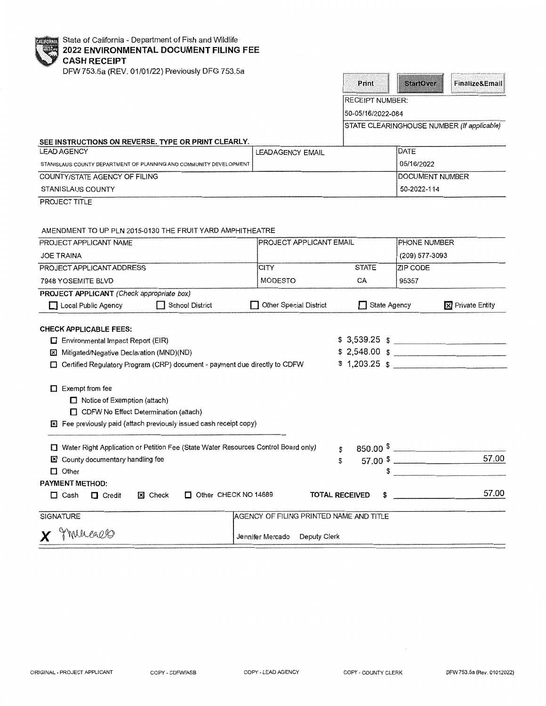State of California - Department of Fish and Wildlife **2022 ENVIRONMENTAL DOCUMENT FILING FEE CASH RECEIPT** 

DFW753.5a (REV. 01/01/22) Previously DFG 753.5a

| DFW 753.58 (REV. 01/01/22) Pleviously DFG 755.58                                                                                                                    |                                         | Print                       | <b>StartOver</b>       | Finalize&Email                             |
|---------------------------------------------------------------------------------------------------------------------------------------------------------------------|-----------------------------------------|-----------------------------|------------------------|--------------------------------------------|
|                                                                                                                                                                     |                                         | <b>RECEIPT NUMBER:</b>      |                        |                                            |
|                                                                                                                                                                     |                                         | 50-05/16/2022-084           |                        |                                            |
|                                                                                                                                                                     |                                         |                             |                        | STATE CLEARINGHOUSE NUMBER (If applicable) |
|                                                                                                                                                                     |                                         |                             |                        |                                            |
| SEE INSTRUCTIONS ON REVERSE. TYPE OR PRINT CLEARLY.<br><b>LEAD AGENCY</b>                                                                                           | <b>LEADAGENCY EMAIL</b>                 |                             | DATE                   |                                            |
| STANISLAUS COUNTY DEPARTMENT OF PLANNING AND COMMUNITY DEVELOPMENT                                                                                                  |                                         |                             | 05/16/2022             |                                            |
| COUNTY/STATE AGENCY OF FILING                                                                                                                                       |                                         |                             | DOCUMENT NUMBER        |                                            |
| STANISLAUS COUNTY                                                                                                                                                   |                                         |                             | 50-2022-114            |                                            |
| PROJECT TITLE                                                                                                                                                       |                                         |                             |                        |                                            |
| AMENDMENT TO UP PLN 2015-0130 THE FRUIT YARD AMPHITHEATRE                                                                                                           |                                         |                             |                        |                                            |
| PROJECT APPLICANT NAME                                                                                                                                              | PROJECT APPLICANT EMAIL                 |                             | PHONE NUMBER           |                                            |
| <b>JOE TRAINA</b>                                                                                                                                                   |                                         |                             | (209) 577-3093         |                                            |
| PROJECT APPLICANT ADDRESS                                                                                                                                           | <b>CITY</b>                             | <b>STATE</b>                | ZIP CODE               |                                            |
| 7948 YOSEMITE BLVD                                                                                                                                                  | MODESTO                                 | CA                          | 95357                  |                                            |
| PROJECT APPLICANT (Check appropriate box)<br>School District<br>□ Local Public Agency                                                                               | <b>Other Special District</b>           | State Agency                |                        | <b>X</b> Private Entity                    |
| <b>CHECK APPLICABLE FEES:</b>                                                                                                                                       |                                         |                             |                        |                                            |
| $\Box$ Environmental Impact Report (EIR)                                                                                                                            |                                         |                             |                        | $$3,539.25$ $$$                            |
| Mitigated/Negative Declaration (MND)(ND)<br>×                                                                                                                       |                                         |                             |                        | \$2,548.00 \$                              |
| Certified Regulatory Program (CRP) document - payment due directly to CDFW                                                                                          |                                         |                             |                        |                                            |
| $\Box$ Exempt from fee<br>Notice of Exemption (attach)<br>CDFW No Effect Determination (attach)<br>Fee previously paid (attach previously issued cash receipt copy) |                                         |                             |                        |                                            |
| Water Right Application or Petition Fee (State Water Resources Control Board only)                                                                                  |                                         | \$                          | $850.00$ $\frac{1}{2}$ |                                            |
| <b>El</b> County documentary handling fee                                                                                                                           |                                         | \$                          | $57.00$ $\frac{1}{2}$  | 57.00                                      |
| $\Box$ Other                                                                                                                                                        |                                         |                             |                        |                                            |
| <b>PAYMENT METHOD:</b>                                                                                                                                              |                                         |                             |                        |                                            |
| Other CHECK NO 14689<br>$\Box$ Cash<br>$\Box$ Credit<br>X Check                                                                                                     |                                         | <b>TOTAL RECEIVED</b><br>\$ |                        | 57.00                                      |
| SIGNATURE                                                                                                                                                           | AGENCY OF FILING PRINTED NAME AND TITLE |                             |                        |                                            |
| mureallo<br>X                                                                                                                                                       | Jennifer Mercado<br>Deputy Clerk        |                             |                        |                                            |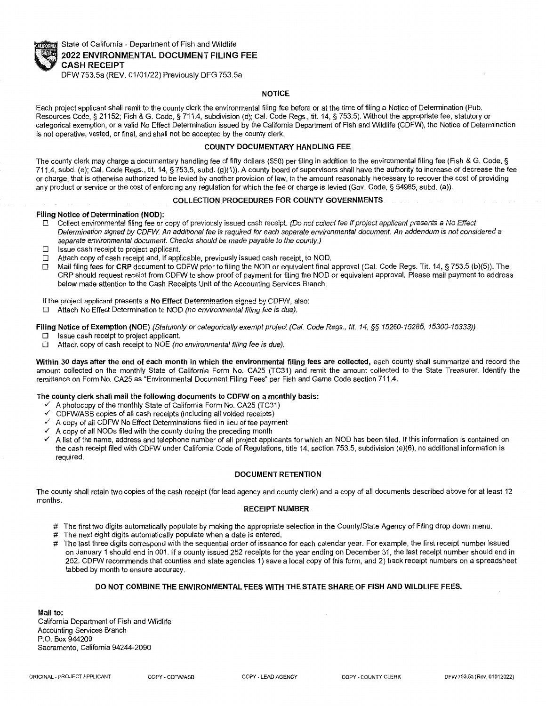

State of California - Department of Fish and Wildlife **2022 ENVIRONMENTAL DOCUMENT FILING FEE CASH RECEIPT**  DFW753.5a (REV. 01/01/22) Previously DFG 753.Sa

## **NOTICE**

Each project applicant shall remit to the county clerk the environmental filing fee before or at the time of filing a Notice of Determination (Pub. Resources Code,§ 21152; Fish & G. Code,§ 711.4, subdivision (d); Cal. Code Regs., tit. 14, § 753.5). Without the appropriate fee, statutory or categorical exemption, or a valid No Effect Determination issued by the California Department of Fish and Wildlife (CDFW), the Notice of Determination is not operative, vested, or final, and shall not be accepted by the county clerk.

## **COUNTY DOCUMENTARY HANDLING FEE**

The county clerk may charge a documentary handling fee of fifty dollars (\$50) per filing in addition to the environmental filing fee (Fish & G. Code, § 711.4, subd. (e); Cal. Code Regs., tit. 14, § 753.5, subd. (g)(1 )). A county board of supervisors shall have the authority to increase or decrease the fee or charge, that is otherwise authorized to be levied by another provision of law, in the amount reasonably necessary to recover the cost of providing any product or service or the cost of enforcing any regulation for which the fee or charge is levied (Gov. Code, § 54985, subd. (a)).

#### **COLLECTION PROCEDURES FOR COUNTY GOVERNMENTS**

#### **Filing Notice of Determination (NOD):**

- **0 Collect environmental filing fee or copy of previously issued cash receipt. (Do not collect fee if project applicant presents a No Effect**  Determination signed by CDFW. An additional fee is required for each separate environmental document. An addendum is not considered a separate environmental document. Checks should be rnade payable *to* the county.)
- $\square$  Issue cash receipt to project applicant.<br> $\square$  Attach copy of cash receipt and, if appl
- $\Box$  Attach copy of cash receipt and, if applicable, previously issued cash receipt, to NOD.<br>  $\Box$  Mail filing fees for CRP document to CDFW prior to filing the NOD or equivalent final
- D Mail filing fees for **CRP** document to CDFW prior to filing the NOD or equivalent final approval (Cal. Code Regs. Tit. 14, § 753.5 (b)(5)). The CRP should request receipt from CDFW to show proof of payment for filing the NOD or equivalent approval. Please mail payment to address below made attention to the Cash Receipts Unit of the Accounting Services Branch.

#### If the project applicant presents a No Effect Determination signed by CDFW, also:

 $\Box$  Attach No Effect Determination to NOD (no environmental filing fee is due).

**Filing Notice of Exemption (NOE)** (Statutorily or categorically exempt project (Cal. Code Regs., tit 14, §§ 15260-15285, 15300-15333))

- □ Issue cash receipt to project applicant.
- $\Box$  Attach copy of cash receipt to NOE (no environmental filing fee is due).

Within 30 days after the end of each month in which the environmental filing fees are collected, each county shall summarize and record the amount collected on the monthly State of California Form No. CA25 (TC31) and remit the amount collected to the State Treasurer. Identify the remittance on Form No. CA25 as "Environmental Document Filing Fees" per Fish and Game Code section 711.4.

## **The county cierk shall mail the following documents to CDFW on a monthly basis:**

- A photocopy of the monthly State of California Form No. CA25 (TC31)
- ,/ CDFW/ASB copies of all cash receipts (including all voided receipts)
- A copy of all CDFW No Effect Determinations filed in lieu of fee payment
- ./ A copy of all NODs filed with the county during the preceding month
- ./ A list of the name, address and telephone number of all project applicants for which an NOD has been filed. If this information is contained on the cash receipt filed with CDFW under California Code of Regulations, title 14, section 753.5, subdivision (e)(6), no additional information is required.

## **DOCUMENT RETENTION**

The county shall retain two copies of the cash receipt (for lead agency and county clerk) and a copy of all documents described above for at least 12 months.

## **RECEIPT NUMBER**

- # The first two digits automatically populate by making the appropriate selection in the County/State Agency of Filing drop down menu.
- # The next eight digits automatically populate when a date is entered.
- # The last three digits correspond wilh the sequential order of issuance for each calendar year. For example, the first receipt number issued on January 1 should end in 001. If a county issued 252 receipts for the year ending on December 31, the last receipt number should end in 252. CDFW recommends that counties and state agencies 1) save a local copy of this form, and 2) track receipt numbers on a spreadsheet tabbed by month to ensure accuracy.

## **DO NOT COMBINE THE ENVIRONMENTAL FEES WITH THE STATE SHARE OF FISH AND WILDLIFE FEES.**

**Mail to:**  California Department of Fish and Wildlife Accounting Services Branch P.O. Box 944209 Sacramento, California 94244-2090